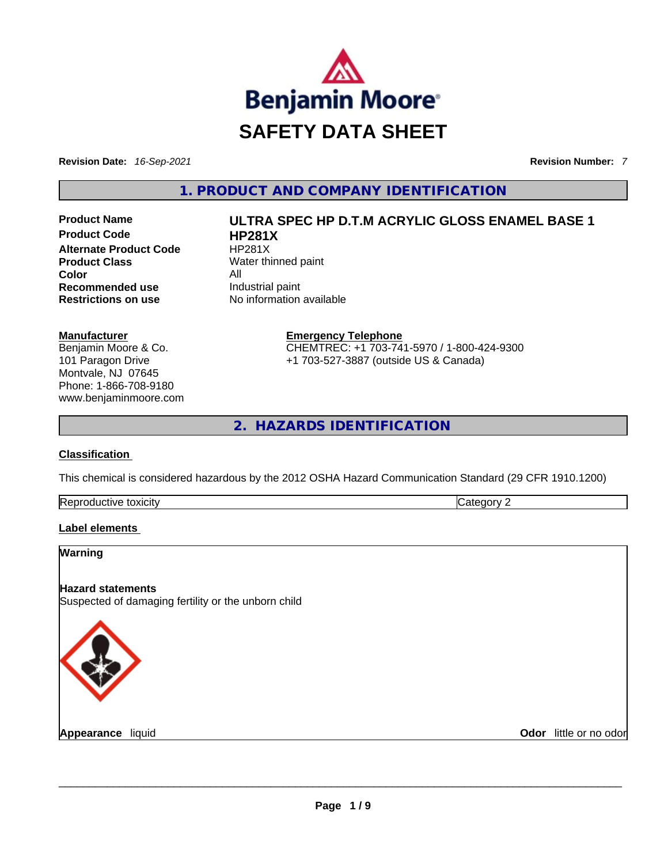

**Revision Date:** *16-Sep-2021* **Revision Number:** *7*

**1. PRODUCT AND COMPANY IDENTIFICATION** 

**Product Code 
<b>HP281X**<br> **Alternate Product Code HP281X Alternate Product Code Product Class** Water thinned paint **Color** All **Recommended use Industrial paint Restrictions on use** No information available

# **Manufacturer**

Benjamin Moore & Co. 101 Paragon Drive Montvale, NJ 07645 Phone: 1-866-708-9180 www.benjaminmoore.com

# **Product Name ULTRA SPEC HP D.T.M ACRYLIC GLOSS ENAMEL BASE 1**

**Emergency Telephone** CHEMTREC: +1 703-741-5970 / 1-800-424-9300 +1 703-527-3887 (outside US & Canada)

**2. HAZARDS IDENTIFICATION** 

### **Classification**

This chemical is considered hazardous by the 2012 OSHA Hazard Communication Standard (29 CFR 1910.1200)

| Re<br>toxicity |  |
|----------------|--|
|                |  |

### **Label elements**

### **Warning**

### **Hazard statements**

Suspected of damaging fertility or the unborn child



**Appearance** liquid \_\_\_\_\_\_\_\_\_\_\_\_\_\_\_\_\_\_\_\_\_\_\_\_\_\_\_\_\_\_\_\_\_\_\_\_\_\_\_\_\_\_\_\_\_\_\_\_\_\_\_\_\_\_\_\_\_\_\_\_\_\_\_\_\_\_\_\_\_\_\_\_\_\_\_\_\_\_\_\_\_\_\_\_\_\_\_\_\_\_\_\_\_ **Odor** little or no odor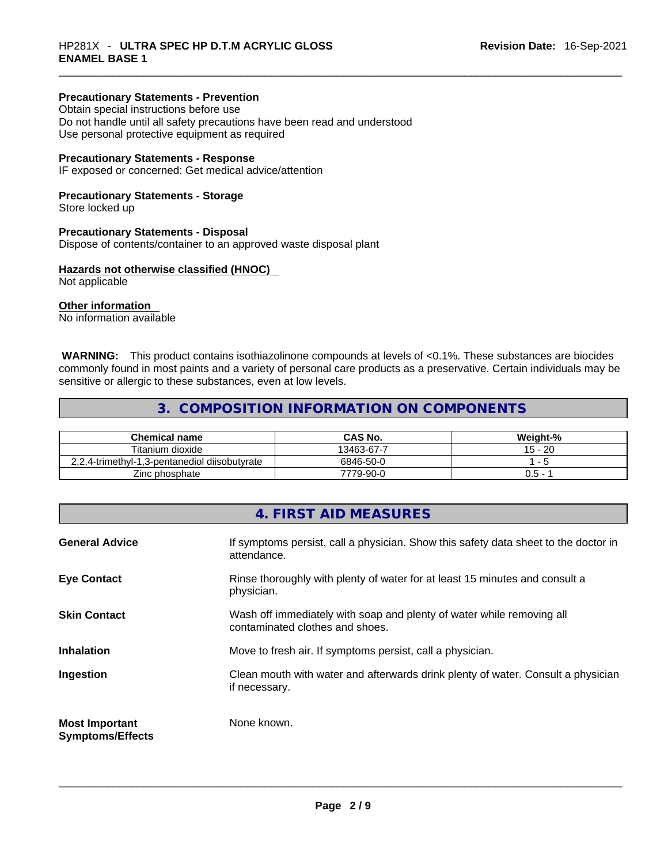# **Precautionary Statements - Prevention**

Obtain special instructions before use Do not handle until all safety precautions have been read and understood Use personal protective equipment as required

### **Precautionary Statements - Response**

IF exposed or concerned: Get medical advice/attention

### **Precautionary Statements - Storage**

Store locked up

#### **Precautionary Statements - Disposal**

Dispose of contents/container to an approved waste disposal plant

### **Hazards not otherwise classified (HNOC)**

Not applicable

### **Other information**

No information available

 **WARNING:** This product contains isothiazolinone compounds at levels of <0.1%. These substances are biocides commonly found in most paints and a variety of personal care products as a preservative. Certain individuals may be sensitive or allergic to these substances, even at low levels.

# **3. COMPOSITION INFORMATION ON COMPONENTS**

| Chemical name                                 | CAS No.    | Weight-%                 |
|-----------------------------------------------|------------|--------------------------|
| Titanium dioxide                              | 13463-67-7 | $15 - 20$                |
| 2.2.4-trimethyl-1.3-pentanediol diisobutyrate | 6846-50-0  | $\overline{\phantom{0}}$ |
| Zinc phosphate                                | 7779-90-0  | 0.5 -                    |

# **4. FIRST AID MEASURES**

| <b>General Advice</b>                            | If symptoms persist, call a physician. Show this safety data sheet to the doctor in<br>attendance.       |
|--------------------------------------------------|----------------------------------------------------------------------------------------------------------|
| <b>Eye Contact</b>                               | Rinse thoroughly with plenty of water for at least 15 minutes and consult a<br>physician.                |
| <b>Skin Contact</b>                              | Wash off immediately with soap and plenty of water while removing all<br>contaminated clothes and shoes. |
| <b>Inhalation</b>                                | Move to fresh air. If symptoms persist, call a physician.                                                |
| Ingestion                                        | Clean mouth with water and afterwards drink plenty of water. Consult a physician<br>if necessary.        |
| <b>Most Important</b><br><b>Symptoms/Effects</b> | None known.                                                                                              |
|                                                  |                                                                                                          |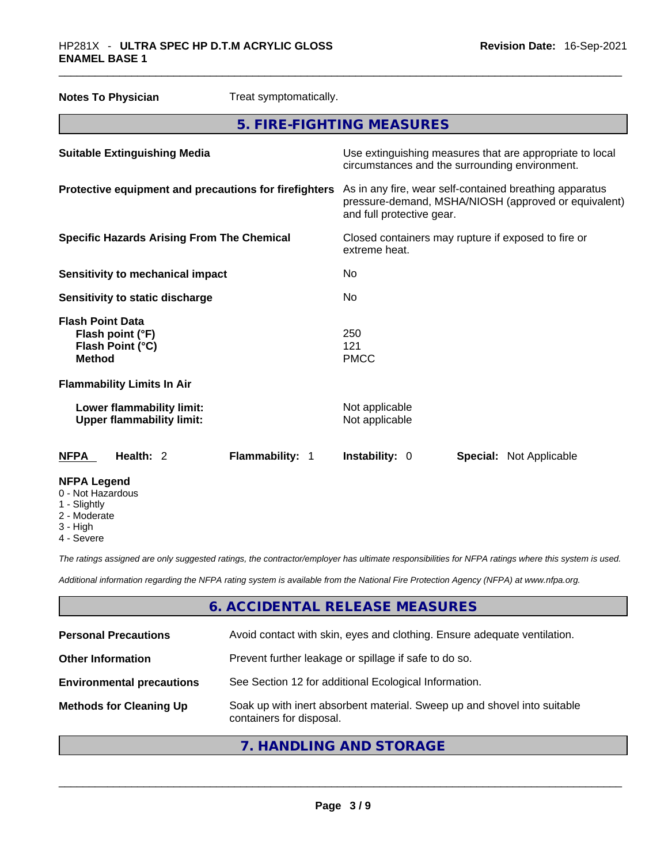| <b>Notes To Physician</b>                                                        | Treat symptomatically. |                                                                                                                                              |  |
|----------------------------------------------------------------------------------|------------------------|----------------------------------------------------------------------------------------------------------------------------------------------|--|
|                                                                                  |                        | 5. FIRE-FIGHTING MEASURES                                                                                                                    |  |
| <b>Suitable Extinguishing Media</b>                                              |                        | Use extinguishing measures that are appropriate to local<br>circumstances and the surrounding environment.                                   |  |
| Protective equipment and precautions for firefighters                            |                        | As in any fire, wear self-contained breathing apparatus<br>pressure-demand, MSHA/NIOSH (approved or equivalent)<br>and full protective gear. |  |
| <b>Specific Hazards Arising From The Chemical</b>                                |                        | Closed containers may rupture if exposed to fire or<br>extreme heat.                                                                         |  |
| <b>Sensitivity to mechanical impact</b>                                          |                        | No.                                                                                                                                          |  |
| Sensitivity to static discharge                                                  |                        | No                                                                                                                                           |  |
| <b>Flash Point Data</b><br>Flash point (°F)<br>Flash Point (°C)<br><b>Method</b> |                        | 250<br>121<br><b>PMCC</b>                                                                                                                    |  |
| <b>Flammability Limits In Air</b>                                                |                        |                                                                                                                                              |  |
| Lower flammability limit:<br><b>Upper flammability limit:</b>                    |                        | Not applicable<br>Not applicable                                                                                                             |  |
| Health: 2<br><b>NFPA</b>                                                         | Flammability: 1        | Instability: 0<br><b>Special: Not Applicable</b>                                                                                             |  |
| <b>NFPA Legend</b><br>0 - Not Hazardous                                          |                        |                                                                                                                                              |  |

- 1 Slightly
- 2 Moderate
- 3 High
- 4 Severe

*The ratings assigned are only suggested ratings, the contractor/employer has ultimate responsibilities for NFPA ratings where this system is used.* 

*Additional information regarding the NFPA rating system is available from the National Fire Protection Agency (NFPA) at www.nfpa.org.* 

# **6. ACCIDENTAL RELEASE MEASURES**

| <b>Personal Precautions</b>      | Avoid contact with skin, eyes and clothing. Ensure adequate ventilation.                             |
|----------------------------------|------------------------------------------------------------------------------------------------------|
| <b>Other Information</b>         | Prevent further leakage or spillage if safe to do so.                                                |
| <b>Environmental precautions</b> | See Section 12 for additional Ecological Information.                                                |
| <b>Methods for Cleaning Up</b>   | Soak up with inert absorbent material. Sweep up and shovel into suitable<br>containers for disposal. |
|                                  |                                                                                                      |

**7. HANDLING AND STORAGE**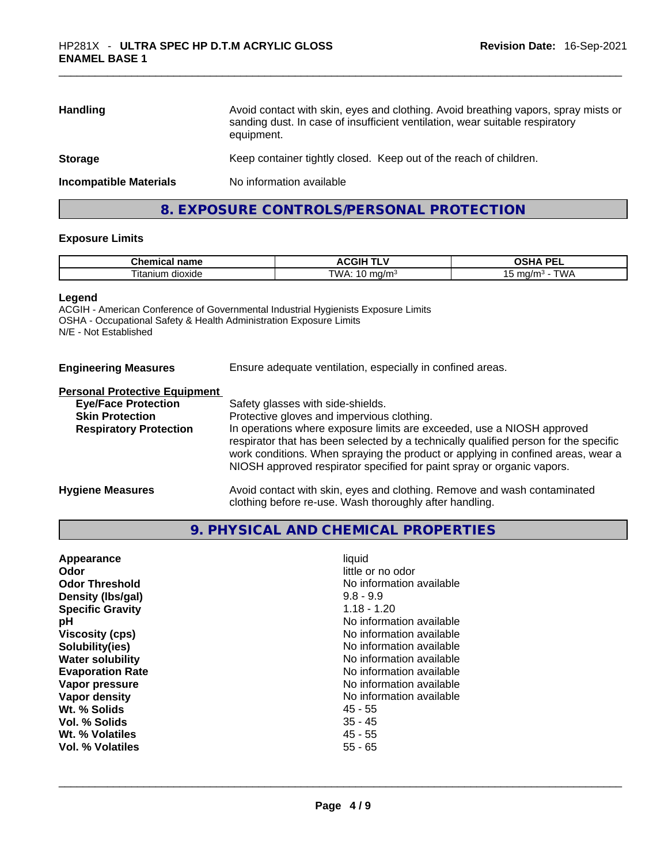| Avoid contact with skin, eyes and clothing. Avoid breathing vapors, spray mists or<br>sanding dust. In case of insufficient ventilation, wear suitable respiratory<br>equipment. |
|----------------------------------------------------------------------------------------------------------------------------------------------------------------------------------|
| Keep container tightly closed. Keep out of the reach of children.                                                                                                                |
| No information available                                                                                                                                                         |
|                                                                                                                                                                                  |

# **8. EXPOSURE CONTROLS/PERSONAL PROTECTION**

### **Exposure Limits**

| $\mathbf{a}$<br>name<br>Chemical               | י שני<br>л.<br>-151<br>--        | <b>DE</b><br>э.<br>--                           |
|------------------------------------------------|----------------------------------|-------------------------------------------------|
| $\sim$<br>. .<br>11 I M<br>dioxide<br>ıtan<br> | TW.<br>. .<br>.na/m°<br>.<br>. . | C1112<br>mo<br>$\cdot$ $d/r$<br>v<br>. .<br>. . |

#### **Legend**

ACGIH - American Conference of Governmental Industrial Hygienists Exposure Limits OSHA - Occupational Safety & Health Administration Exposure Limits N/E - Not Established

| <b>Engineering Measures</b> | Ensure adequate ventilation, especially in confined areas. |
|-----------------------------|------------------------------------------------------------|
|                             |                                                            |

### **Personal Protective Equipment**

| <b>Eye/Face Protection</b>    | Safety glasses with side-shields.                                                                                                                                                                                                                                                                                            |
|-------------------------------|------------------------------------------------------------------------------------------------------------------------------------------------------------------------------------------------------------------------------------------------------------------------------------------------------------------------------|
| <b>Skin Protection</b>        | Protective gloves and impervious clothing.                                                                                                                                                                                                                                                                                   |
| <b>Respiratory Protection</b> | In operations where exposure limits are exceeded, use a NIOSH approved<br>respirator that has been selected by a technically qualified person for the specific<br>work conditions. When spraying the product or applying in confined areas, wear a<br>NIOSH approved respirator specified for paint spray or organic vapors. |
| <b>Hygiene Measures</b>       | Avoid contact with skin, eyes and clothing. Remove and wash contaminated                                                                                                                                                                                                                                                     |

clothing before re-use. Wash thoroughly after handling.

# **9. PHYSICAL AND CHEMICAL PROPERTIES**

| Appearance              | liquid                   |
|-------------------------|--------------------------|
| Odor                    | little or no odor        |
| <b>Odor Threshold</b>   | No information available |
| Density (Ibs/gal)       | $9.8 - 9.9$              |
| <b>Specific Gravity</b> | $1.18 - 1.20$            |
| рH                      | No information available |
| <b>Viscosity (cps)</b>  | No information available |
| Solubility(ies)         | No information available |
| <b>Water solubility</b> | No information available |
| <b>Evaporation Rate</b> | No information available |
| Vapor pressure          | No information available |
| Vapor density           | No information available |
| Wt. % Solids            | 45 - 55                  |
| Vol. % Solids           | $35 - 45$                |
| Wt. % Volatiles         | $45 - 55$                |
| <b>Vol. % Volatiles</b> | $55 - 65$                |
|                         |                          |
|                         |                          |
|                         |                          |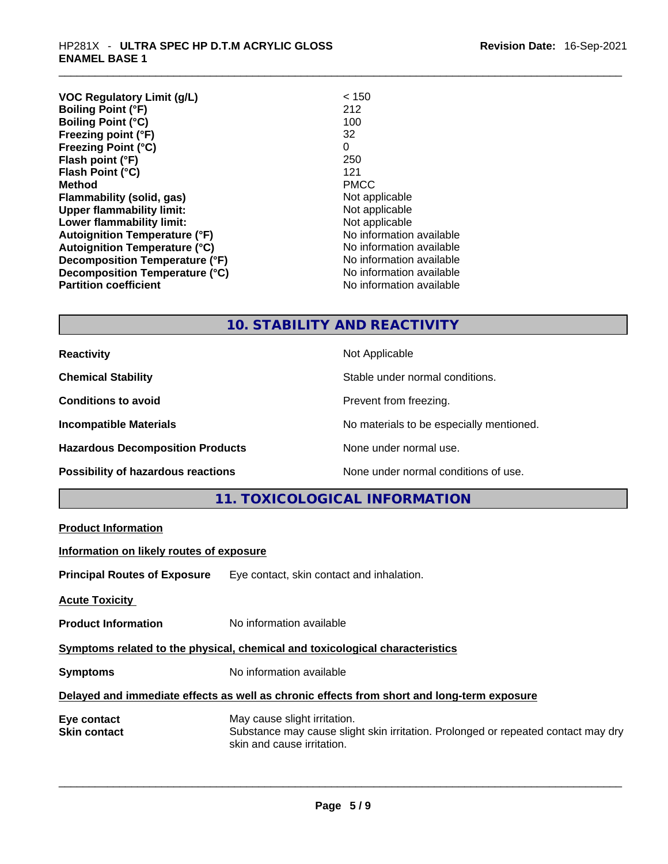| Revision Date: 16-Sep-2021 |
|----------------------------|
|----------------------------|

| <b>VOC Regulatory Limit (g/L)</b>    | < 150                    |
|--------------------------------------|--------------------------|
| <b>Boiling Point (°F)</b>            | 212                      |
| <b>Boiling Point (°C)</b>            | 100                      |
| Freezing point (°F)                  | 32                       |
| <b>Freezing Point (°C)</b>           | 0                        |
| Flash point (°F)                     | 250                      |
| Flash Point (°C)                     | 121                      |
| <b>Method</b>                        | <b>PMCC</b>              |
| Flammability (solid, gas)            | Not applicable           |
| <b>Upper flammability limit:</b>     | Not applicable           |
| Lower flammability limit:            | Not applicable           |
| <b>Autoignition Temperature (°F)</b> | No information available |
| <b>Autoignition Temperature (°C)</b> | No information available |
| Decomposition Temperature (°F)       | No information available |
| Decomposition Temperature (°C)       | No information available |
| <b>Partition coefficient</b>         | No information available |

# **10. STABILITY AND REACTIVITY**

**Reactivity Not Applicable Not Applicable Chemical Stability Chemical Stability** Stable under normal conditions. **Conditions to avoid Prevent from freezing. Incompatible Materials Incompatible Materials Materials No materials to be especially mentioned. Hazardous Decomposition Products** None under normal use. **Possibility of hazardous reactions** None under normal conditions of use.

**11. TOXICOLOGICAL INFORMATION** 

| <b>Product Information</b>               |                                                                                                                                                 |
|------------------------------------------|-------------------------------------------------------------------------------------------------------------------------------------------------|
| Information on likely routes of exposure |                                                                                                                                                 |
|                                          | <b>Principal Routes of Exposure</b> Eye contact, skin contact and inhalation.                                                                   |
| <b>Acute Toxicity</b>                    |                                                                                                                                                 |
| <b>Product Information</b>               | No information available                                                                                                                        |
|                                          | Symptoms related to the physical, chemical and toxicological characteristics                                                                    |
| <b>Symptoms</b>                          | No information available                                                                                                                        |
|                                          | Delayed and immediate effects as well as chronic effects from short and long-term exposure                                                      |
| Eye contact<br><b>Skin contact</b>       | May cause slight irritation.<br>Substance may cause slight skin irritation. Prolonged or repeated contact may dry<br>skin and cause irritation. |
|                                          |                                                                                                                                                 |
|                                          |                                                                                                                                                 |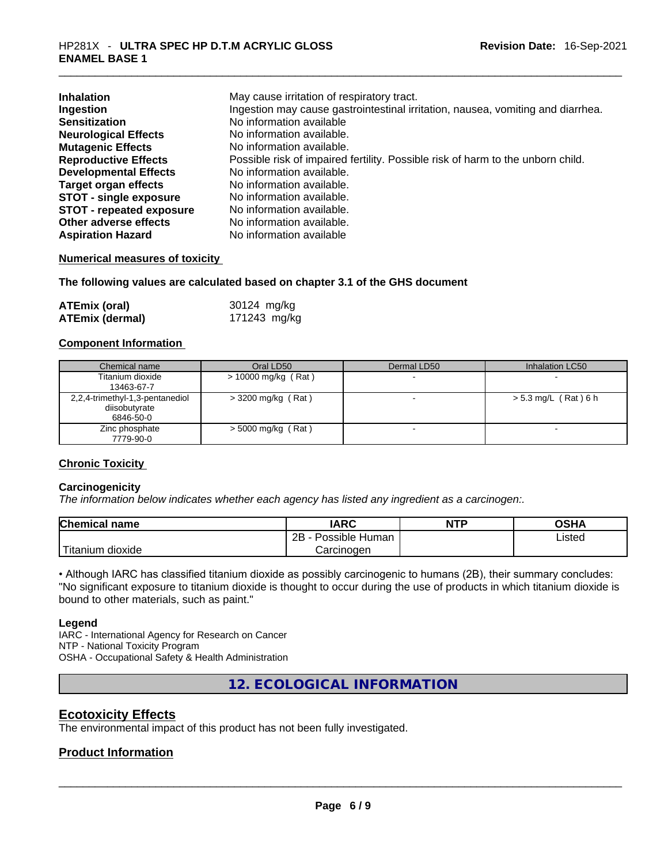| <b>Inhalation</b>               | May cause irritation of respiratory tract.                                      |
|---------------------------------|---------------------------------------------------------------------------------|
| Ingestion                       | Ingestion may cause gastrointestinal irritation, nausea, vomiting and diarrhea. |
| <b>Sensitization</b>            | No information available                                                        |
| <b>Neurological Effects</b>     | No information available.                                                       |
| <b>Mutagenic Effects</b>        | No information available.                                                       |
| <b>Reproductive Effects</b>     | Possible risk of impaired fertility. Possible risk of harm to the unborn child. |
| <b>Developmental Effects</b>    | No information available.                                                       |
| <b>Target organ effects</b>     | No information available.                                                       |
| <b>STOT - single exposure</b>   | No information available.                                                       |
| <b>STOT - repeated exposure</b> | No information available.                                                       |
| Other adverse effects           | No information available.                                                       |
| <b>Aspiration Hazard</b>        | No information available                                                        |

### **Numerical measures of toxicity**

### **The following values are calculated based on chapter 3.1 of the GHS document**

| <b>ATEmix (oral)</b>   | 30124 mg/kg  |
|------------------------|--------------|
| <b>ATEmix (dermal)</b> | 171243 mg/kg |

### **Component Information**

| Chemical name                                                 | Oral LD50             | Dermal LD50 | Inhalation LC50          |
|---------------------------------------------------------------|-----------------------|-------------|--------------------------|
| Titanium dioxide<br>13463-67-7                                | $> 10000$ mg/kg (Rat) |             |                          |
| 2,2,4-trimethyl-1,3-pentanediol<br>diisobutyrate<br>6846-50-0 | $>$ 3200 mg/kg (Rat)  |             | > 5.3 mg/L (Rat) 6 h     |
| Zinc phosphate<br>7779-90-0                                   | $>$ 5000 mg/kg (Rat)  |             | $\overline{\phantom{0}}$ |

### **Chronic Toxicity**

### **Carcinogenicity**

*The information below indicates whether each agency has listed any ingredient as a carcinogen:.* 

| <b>Chemical name</b> | IARC                 | <b>NTP</b> | OSHA   |
|----------------------|----------------------|------------|--------|
|                      | 2B<br>Possible Human |            | Listed |
| Titanium<br>dioxide  | Carcinogen           |            |        |

• Although IARC has classified titanium dioxide as possibly carcinogenic to humans (2B), their summary concludes: "No significant exposure to titanium dioxide is thought to occur during the use of products in which titanium dioxide is bound to other materials, such as paint."

### **Legend**

IARC - International Agency for Research on Cancer NTP - National Toxicity Program OSHA - Occupational Safety & Health Administration

**12. ECOLOGICAL INFORMATION** 

# **Ecotoxicity Effects**

The environmental impact of this product has not been fully investigated.

# **Product Information**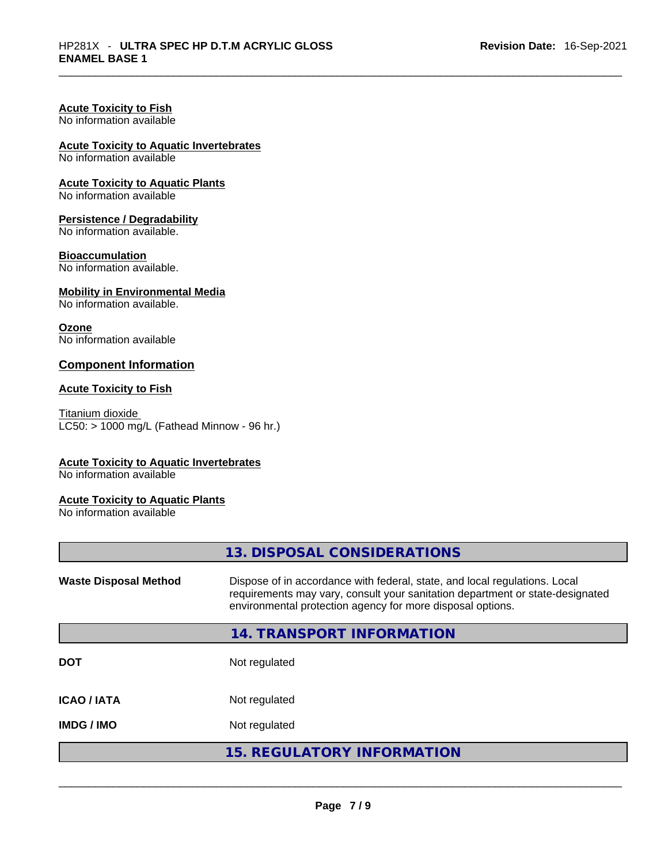### **Acute Toxicity to Fish**

No information available

# **Acute Toxicity to Aquatic Invertebrates**

No information available

# **Acute Toxicity to Aquatic Plants**

No information available

### **Persistence / Degradability**

No information available.

### **Bioaccumulation**

No information available.

### **Mobility in Environmental Media**

No information available.

### **Ozone**

No information available

### **Component Information**

### **Acute Toxicity to Fish**

Titanium dioxide  $LCS0:$  > 1000 mg/L (Fathead Minnow - 96 hr.)

# **Acute Toxicity to Aquatic Invertebrates**

No information available

### **Acute Toxicity to Aquatic Plants**

No information available

|                              | 13. DISPOSAL CONSIDERATIONS                                                                                                                                                                                               |
|------------------------------|---------------------------------------------------------------------------------------------------------------------------------------------------------------------------------------------------------------------------|
| <b>Waste Disposal Method</b> | Dispose of in accordance with federal, state, and local regulations. Local<br>requirements may vary, consult your sanitation department or state-designated<br>environmental protection agency for more disposal options. |
|                              | 14. TRANSPORT INFORMATION                                                                                                                                                                                                 |
| <b>DOT</b>                   | Not regulated                                                                                                                                                                                                             |
| <b>ICAO / IATA</b>           | Not regulated                                                                                                                                                                                                             |
| <b>IMDG / IMO</b>            | Not regulated                                                                                                                                                                                                             |
|                              | <b>15. REGULATORY INFORMATION</b>                                                                                                                                                                                         |
|                              |                                                                                                                                                                                                                           |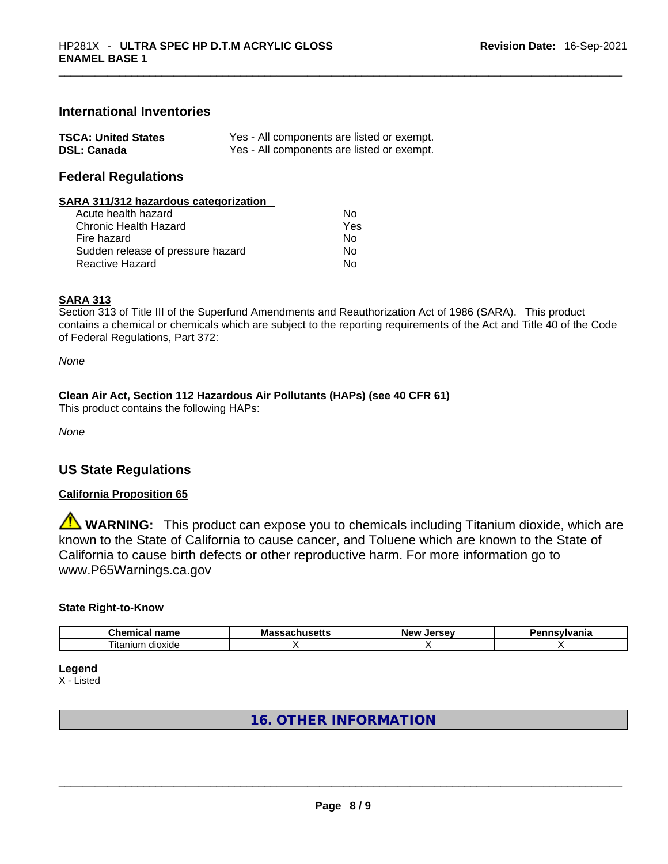### **International Inventories**

| <b>TSCA: United States</b> | Yes - All components are listed or exempt. |
|----------------------------|--------------------------------------------|
| <b>DSL: Canada</b>         | Yes - All components are listed or exempt. |

### **Federal Regulations**

#### **SARA 311/312 hazardous categorization**

| Acute health hazard               | Nο  |
|-----------------------------------|-----|
| Chronic Health Hazard             | Yes |
| Fire hazard                       | N٥  |
| Sudden release of pressure hazard | N٥  |
| Reactive Hazard                   | N٥  |

### **SARA 313**

Section 313 of Title III of the Superfund Amendments and Reauthorization Act of 1986 (SARA). This product contains a chemical or chemicals which are subject to the reporting requirements of the Act and Title 40 of the Code of Federal Regulations, Part 372:

*None*

# **Clean Air Act,Section 112 Hazardous Air Pollutants (HAPs) (see 40 CFR 61)**

This product contains the following HAPs:

*None*

### **US State Regulations**

### **California Proposition 65**

**WARNING:** This product can expose you to chemicals including Titanium dioxide, which are known to the State of California to cause cancer, and Toluene which are known to the State of California to cause birth defects or other reproductive harm. For more information go to www.P65Warnings.ca.gov

#### **State Right-to-Know**

| $\sim$<br>$   -$<br>.nem<br>,,,<br>н.а<br>нан | Ma<br>21 L C | -------<br>NΑI | $-$ - $ \cdots$ $\cdots$ $\cdots$<br>нс |
|-----------------------------------------------|--------------|----------------|-----------------------------------------|
| --<br>--<br>dioxide<br>ıtanıum                |              |                |                                         |

**Legend**

X - Listed

# **16. OTHER INFORMATION**